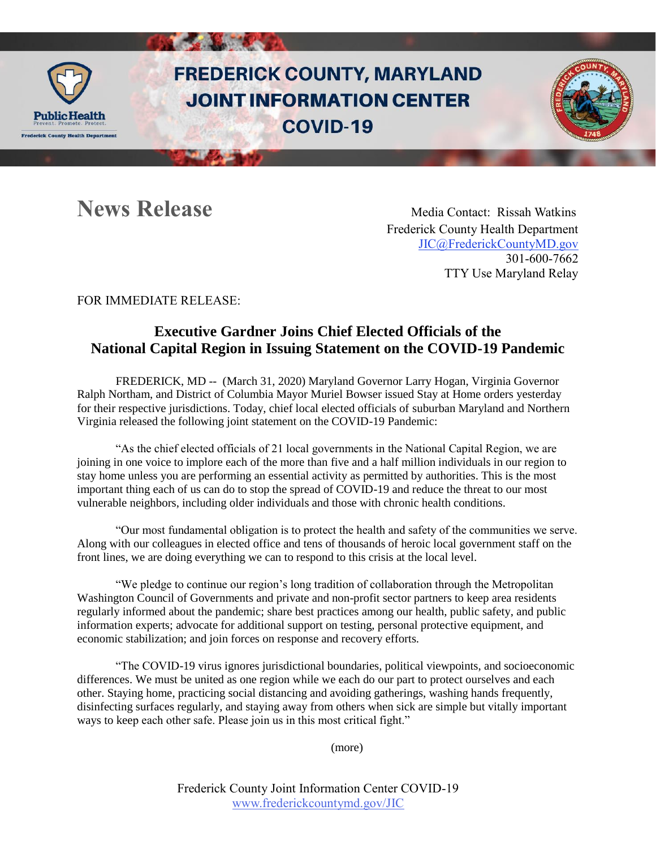

## **FREDERICK COUNTY, MARYLAND JOINT INFORMATION CENTER COVID-19**

**News Release Media Contact: Rissah Watkins**  Frederick County Health Department [JIC@FrederickCountyMD.gov](mailto:JIC@FrederickCountyMD.gov)  301-600-7662 TTY Use Maryland Relay

### FOR IMMEDIATE RELEASE:

### **Executive Gardner Joins Chief Elected Officials of the National Capital Region in Issuing Statement on the COVID-19 Pandemic**

FREDERICK, MD -- (March 31, 2020) Maryland Governor Larry Hogan, Virginia Governor Ralph Northam, and District of Columbia Mayor Muriel Bowser issued Stay at Home orders yesterday for their respective jurisdictions. Today, chief local elected officials of suburban Maryland and Northern Virginia released the following joint statement on the COVID-19 Pandemic:

"As the chief elected officials of 21 local governments in the National Capital Region, we are joining in one voice to implore each of the more than five and a half million individuals in our region to stay home unless you are performing an essential activity as permitted by authorities. This is the most important thing each of us can do to stop the spread of COVID-19 and reduce the threat to our most vulnerable neighbors, including older individuals and those with chronic health conditions.

"Our most fundamental obligation is to protect the health and safety of the communities we serve. Along with our colleagues in elected office and tens of thousands of heroic local government staff on the front lines, we are doing everything we can to respond to this crisis at the local level.

"We pledge to continue our region's long tradition of collaboration through the Metropolitan Washington Council of Governments and private and non-profit sector partners to keep area residents regularly informed about the pandemic; share best practices among our health, public safety, and public information experts; advocate for additional support on testing, personal protective equipment, and economic stabilization; and join forces on response and recovery efforts.

"The COVID-19 virus ignores jurisdictional boundaries, political viewpoints, and socioeconomic differences. We must be united as one region while we each do our part to protect ourselves and each other. Staying home, practicing social distancing and avoiding gatherings, washing hands frequently, disinfecting surfaces regularly, and staying away from others when sick are simple but vitally important ways to keep each other safe. Please join us in this most critical fight."

(more)